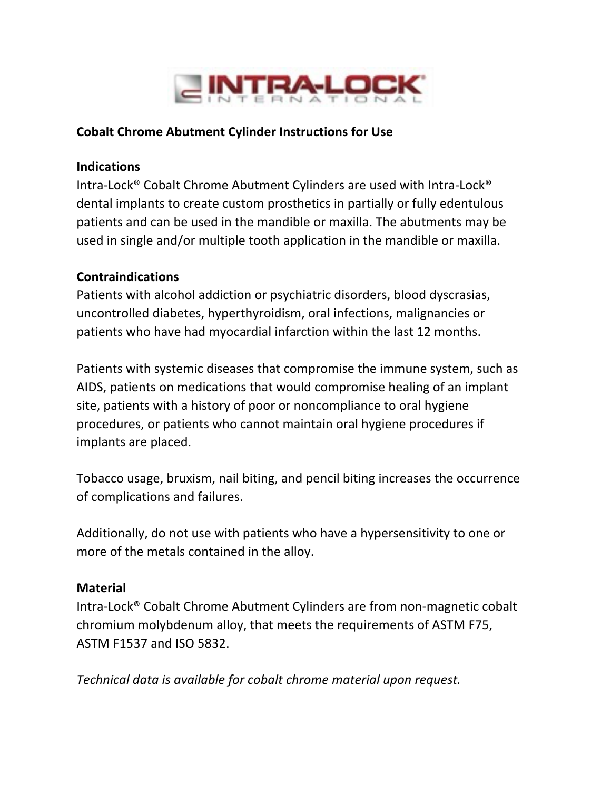

### **Cobalt Chrome Abutment Cylinder Instructions for Use**

#### **Indications**

Intra-Lock® Cobalt Chrome Abutment Cylinders are used with Intra-Lock® dental implants to create custom prosthetics in partially or fully edentulous patients and can be used in the mandible or maxilla. The abutments may be used in single and/or multiple tooth application in the mandible or maxilla.

### **Contraindications**

Patients with alcohol addiction or psychiatric disorders, blood dyscrasias, uncontrolled diabetes, hyperthyroidism, oral infections, malignancies or patients who have had myocardial infarction within the last 12 months.

Patients with systemic diseases that compromise the immune system, such as AIDS, patients on medications that would compromise healing of an implant site, patients with a history of poor or noncompliance to oral hygiene procedures, or patients who cannot maintain oral hygiene procedures if implants are placed.

Tobacco usage, bruxism, nail biting, and pencil biting increases the occurrence of complications and failures.

Additionally, do not use with patients who have a hypersensitivity to one or more of the metals contained in the alloy.

### **Material**

Intra-Lock<sup>®</sup> Cobalt Chrome Abutment Cylinders are from non-magnetic cobalt chromium molybdenum alloy, that meets the requirements of ASTM F75, ASTM F1537 and ISO 5832. 

*Technical data is available for cobalt chrome material upon request.*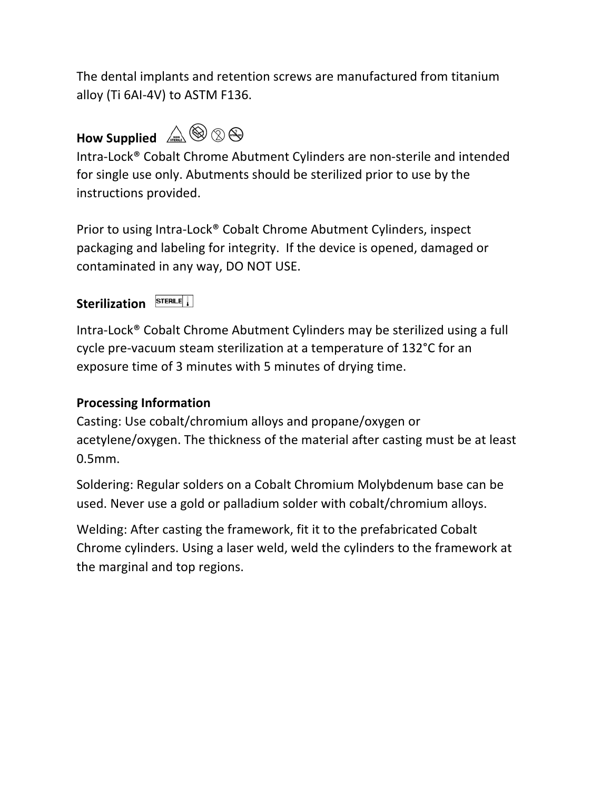The dental implants and retention screws are manufactured from titanium alloy (Ti 6AI-4V) to ASTM F136.

# How Supplied  $\mathbb{A}\otimes\otimes\otimes$



Intra-Lock® Cobalt Chrome Abutment Cylinders are non-sterile and intended for single use only. Abutments should be sterilized prior to use by the instructions provided.

Prior to using Intra-Lock® Cobalt Chrome Abutment Cylinders, inspect packaging and labeling for integrity. If the device is opened, damaged or contaminated in any way, DO NOT USE.

### Sterilization **STERILE**

Intra-Lock<sup>®</sup> Cobalt Chrome Abutment Cylinders may be sterilized using a full cycle pre-vacuum steam sterilization at a temperature of 132°C for an exposure time of 3 minutes with 5 minutes of drying time.

### **Processing Information**

Casting: Use cobalt/chromium alloys and propane/oxygen or acetylene/oxygen. The thickness of the material after casting must be at least 0.5mm.

Soldering: Regular solders on a Cobalt Chromium Molybdenum base can be used. Never use a gold or palladium solder with cobalt/chromium alloys.

Welding: After casting the framework, fit it to the prefabricated Cobalt Chrome cylinders. Using a laser weld, weld the cylinders to the framework at the marginal and top regions.